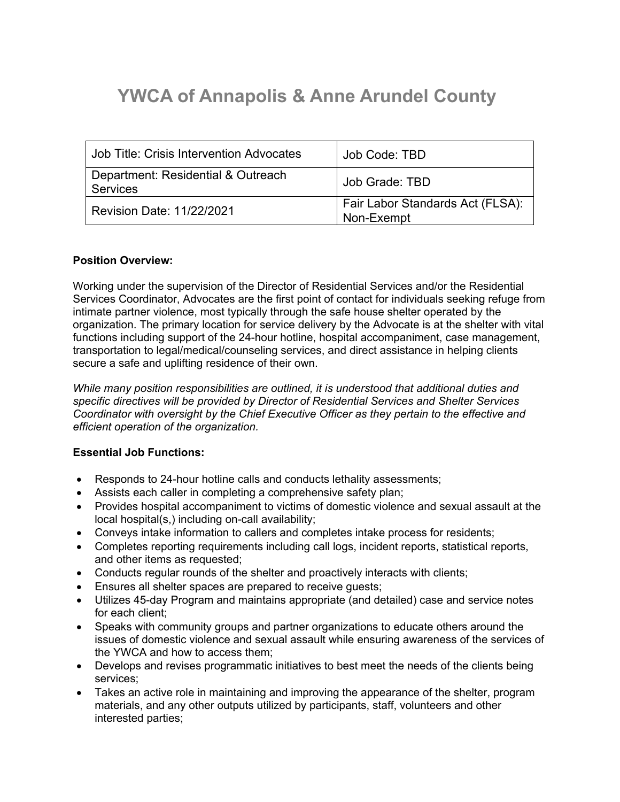# **YWCA of Annapolis & Anne Arundel County**

| Job Title: Crisis Intervention Advocates              | Job Code: TBD                                  |
|-------------------------------------------------------|------------------------------------------------|
| Department: Residential & Outreach<br><b>Services</b> | Job Grade: TBD                                 |
| <b>Revision Date: 11/22/2021</b>                      | Fair Labor Standards Act (FLSA):<br>Non-Exempt |

#### **Position Overview:**

Working under the supervision of the Director of Residential Services and/or the Residential Services Coordinator, Advocates are the first point of contact for individuals seeking refuge from intimate partner violence, most typically through the safe house shelter operated by the organization. The primary location for service delivery by the Advocate is at the shelter with vital functions including support of the 24-hour hotline, hospital accompaniment, case management, transportation to legal/medical/counseling services, and direct assistance in helping clients secure a safe and uplifting residence of their own.

*While many position responsibilities are outlined, it is understood that additional duties and specific directives will be provided by Director of Residential Services and Shelter Services Coordinator with oversight by the Chief Executive Officer as they pertain to the effective and efficient operation of the organization.*

### **Essential Job Functions:**

- Responds to 24-hour hotline calls and conducts lethality assessments;
- Assists each caller in completing a comprehensive safety plan;
- Provides hospital accompaniment to victims of domestic violence and sexual assault at the local hospital(s,) including on-call availability;
- Conveys intake information to callers and completes intake process for residents;
- Completes reporting requirements including call logs, incident reports, statistical reports, and other items as requested;
- Conducts regular rounds of the shelter and proactively interacts with clients;
- Ensures all shelter spaces are prepared to receive guests;
- Utilizes 45-day Program and maintains appropriate (and detailed) case and service notes for each client;
- Speaks with community groups and partner organizations to educate others around the issues of domestic violence and sexual assault while ensuring awareness of the services of the YWCA and how to access them;
- Develops and revises programmatic initiatives to best meet the needs of the clients being services;
- Takes an active role in maintaining and improving the appearance of the shelter, program materials, and any other outputs utilized by participants, staff, volunteers and other interested parties;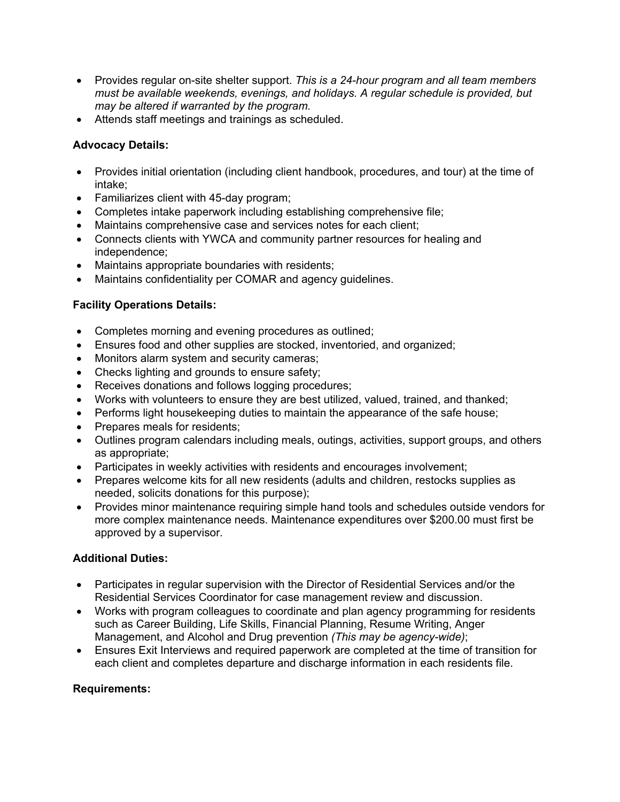- Provides regular on-site shelter support. *This is a 24-hour program and all team members must be available weekends, evenings, and holidays. A regular schedule is provided, but may be altered if warranted by the program.*
- Attends staff meetings and trainings as scheduled.

## **Advocacy Details:**

- Provides initial orientation (including client handbook, procedures, and tour) at the time of intake;
- Familiarizes client with 45-day program;
- Completes intake paperwork including establishing comprehensive file;
- Maintains comprehensive case and services notes for each client;
- Connects clients with YWCA and community partner resources for healing and independence;
- Maintains appropriate boundaries with residents;
- Maintains confidentiality per COMAR and agency guidelines.

## **Facility Operations Details:**

- Completes morning and evening procedures as outlined;
- Ensures food and other supplies are stocked, inventoried, and organized;
- Monitors alarm system and security cameras;
- Checks lighting and grounds to ensure safety;
- Receives donations and follows logging procedures;
- Works with volunteers to ensure they are best utilized, valued, trained, and thanked;
- Performs light housekeeping duties to maintain the appearance of the safe house:
- Prepares meals for residents;
- Outlines program calendars including meals, outings, activities, support groups, and others as appropriate;
- Participates in weekly activities with residents and encourages involvement;
- Prepares welcome kits for all new residents (adults and children, restocks supplies as needed, solicits donations for this purpose);
- Provides minor maintenance requiring simple hand tools and schedules outside vendors for more complex maintenance needs. Maintenance expenditures over \$200.00 must first be approved by a supervisor.

### **Additional Duties:**

- Participates in regular supervision with the Director of Residential Services and/or the Residential Services Coordinator for case management review and discussion.
- Works with program colleagues to coordinate and plan agency programming for residents such as Career Building, Life Skills, Financial Planning, Resume Writing, Anger Management, and Alcohol and Drug prevention *(This may be agency-wide)*;
- Ensures Exit Interviews and required paperwork are completed at the time of transition for each client and completes departure and discharge information in each residents file.

### **Requirements:**